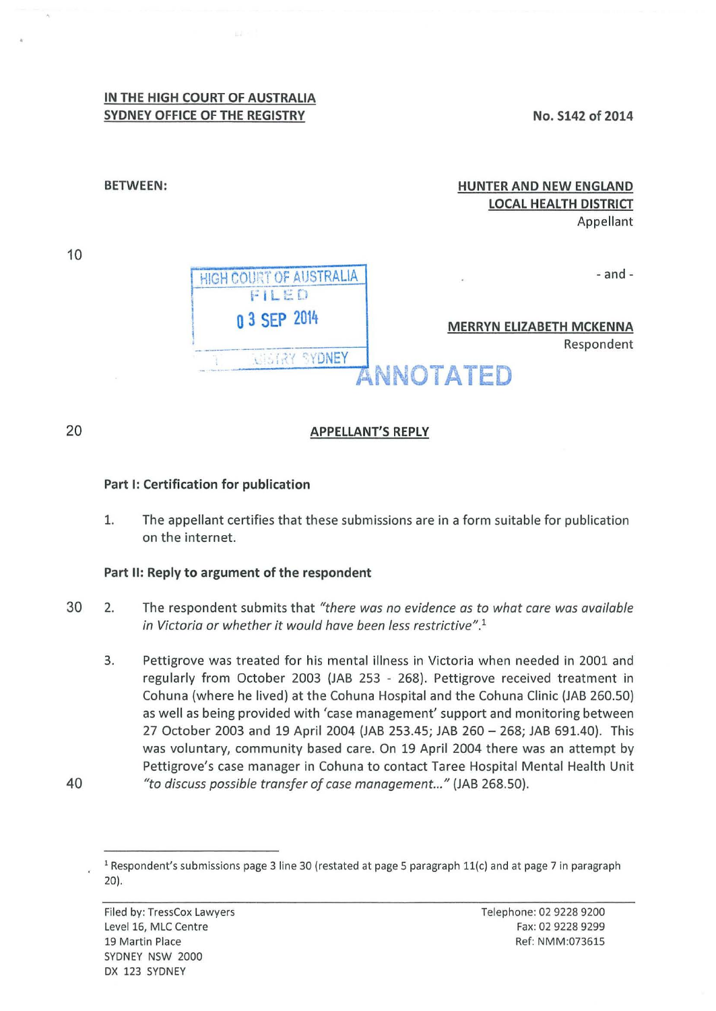## **IN THE HIGH COURT OF AUSTRALIA SYDNEY OFFICE OF THE REGISTRY**

**No. S142 of 2014** 

| <b>HUNTER AND NEW ENGLAND</b><br><b>LOCAL HEALTH DISTRICT</b><br>Appellant |                                  | <b>BETWEEN:</b> |  |
|----------------------------------------------------------------------------|----------------------------------|-----------------|--|
| $-$ and $-$<br>ж.                                                          | <b>IRT OF AUSTRALIA</b><br>FILED |                 |  |
| <b>MERRYN ELIZABETH MCKENNA</b><br>Respondent                              | 0 3 SEP 2014<br>YONEY            |                 |  |
| ANNOTATED                                                                  |                                  |                 |  |

**APPELLANT'S REPLY** 

## **Part 1: Certification for publication**

1. The appellant certifies that these submissions are in a form suitable for publication on the internet.

## **Part II: Reply to argument of the respondent**

- 30 2. The respondent submits that *"there was no evidence as to what care was available in Victoria or whether it would have been less restrictive".* 1
- 3. Pettigrove was treated for his mental illness in Victoria when needed in 2001 and regularly from October 2003 (JAB 253 - 268). Pettigrove received treatment in Cohuna (where he lived) at the Cohuna Hospital and the Cohuna Clinic (JAB 260.50) as well as being provided with 'case management' support and monitoring between 27 October 2003 and 19 April 2004 {JAB 253.45; JAB 260- 268; JAB 691.40). This was voluntary, community based care. On 19 April 2004 there was an attempt by Pettigrove's case manager in Cohuna to contact Taree Hospital Mental Health Unit 40 *"to discuss possible transfer of case management..."* (JAB 268.50).

10

20

<sup>&</sup>lt;sup>1</sup> Respondent's submissions page 3 line 30 (restated at page 5 paragraph 11(c) and at page 7 in paragraph 20).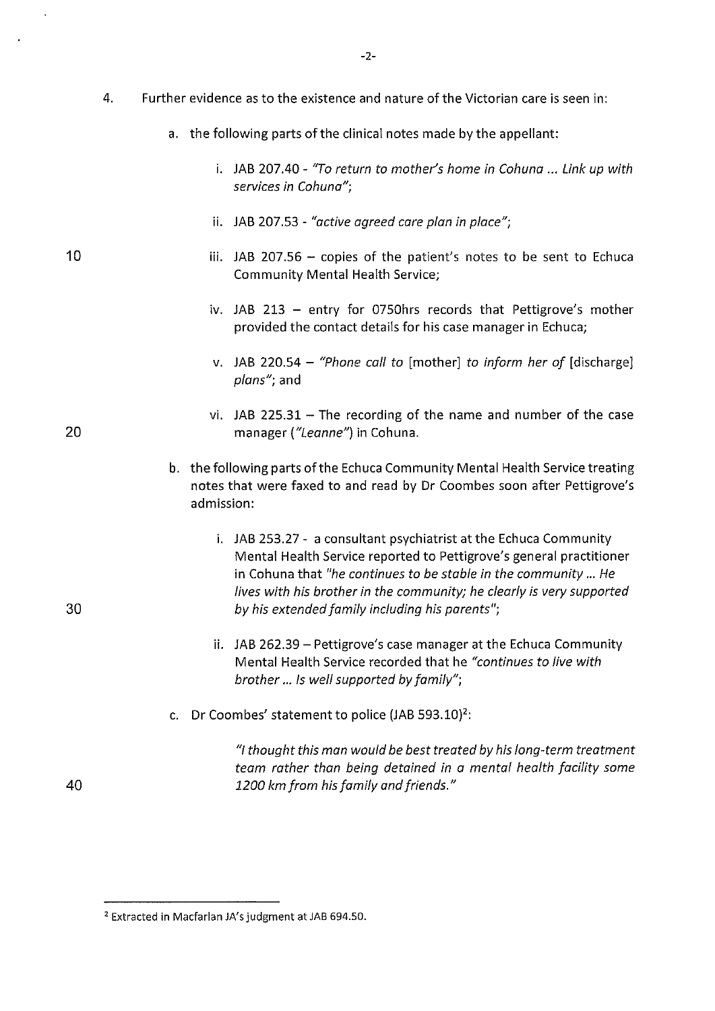- 4. Further evidence as to the existence and nature of the Victorian care is seen in:
	- a. the following parts of the clinical notes made by the appellant:
		- i. JAB 207.40- *"To return to mother's home in Cohuna* ... *Link up with services in Cohuna";*
		- ii. JAB 207.53- *"active agreed care plan in place";*

10

20

30

40

- iii. JAB 207.56  $-$  copies of the patient's notes to be sent to Echuca Community Mental Health Service;
	- iv. JAB 213 entry for 0750hrs records that Pettigrove's mother provided the contact details for his case manager in Echuca;
	- v. JAB 220.S4 *"Phone call to* [mother] *to inform her of* [discharge] *plans";* and
	- vi. JAB  $225.31$  The recording of the name and number of the case manager *("Leanne")* in Cohuna.
- b. the following parts of the Echuca Community Mental Health Service treating notes that were faxed to and read by Dr Coombes soon after Pettigrove's admission:
	- i. JAB 2S3.27- a consultant psychiatrist at the Echuca Community Mental Health Service reported to Pettigrove's general practitioner in Cohuna that *"he continues to be stable in the community ... He lives with his brother in the community; he clearly is very supported by his extended family including his parents";*
	- ii. JAB 262.39 Pettigrove's case manager at the Echuca Community Mental Health Service recorded that he *"continues to live with brother ... Is well supported by family";*
- c. Dr Coombes' statement to police  $(JAB 593.10)^2$ :

*"I thought this man would be best treated by his long-term treatment team rather than being detained in a mental health facility some 1200 km from his family and friends."* 

<sup>2</sup> Extracted in Macfarlan JA's judgment at JAB 694.50.